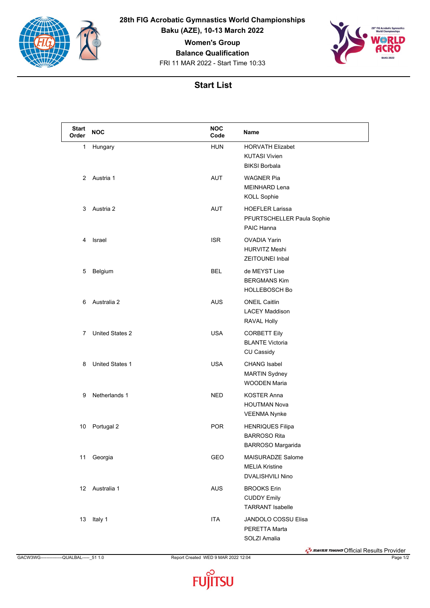

**28th FIG Acrobatic Gymnastics World Championships**

**Baku (AZE), 10-13 March 2022**

**Women's Group**

**Balance Qualification**

FRI 11 MAR 2022 - Start Time 10:33



| <b>Start</b><br>Order | <b>NOC</b>             | <b>NOC</b><br>Code | Name                                                                    |
|-----------------------|------------------------|--------------------|-------------------------------------------------------------------------|
| 1                     | Hungary                | <b>HUN</b>         | <b>HORVATH Elizabet</b><br><b>KUTASI Vivien</b><br><b>BIKSI Borbala</b> |
| 2                     | Austria 1              | AUT                | <b>WAGNER Pia</b><br><b>MEINHARD Lena</b><br><b>KOLL Sophie</b>         |
| 3                     | Austria 2              | <b>AUT</b>         | <b>HOEFLER Larissa</b><br>PFURTSCHELLER Paula Sophie<br>PAIC Hanna      |
| 4                     | Israel                 | <b>ISR</b>         | <b>OVADIA Yarin</b><br><b>HURVITZ Meshi</b><br><b>ZEITOUNEI Inbal</b>   |
| 5                     | Belgium                | <b>BEL</b>         | de MEYST Lise<br><b>BERGMANS Kim</b><br><b>HOLLEBOSCH Bo</b>            |
| 6                     | Australia 2            | AUS                | <b>ONEIL Caitlin</b><br><b>LACEY Maddison</b><br>RAVAL Holly            |
| $\overline{7}$        | <b>United States 2</b> | <b>USA</b>         | <b>CORBETT Eily</b><br><b>BLANTE Victoria</b><br>CU Cassidy             |
| 8                     | <b>United States 1</b> | <b>USA</b>         | <b>CHANG Isabel</b><br><b>MARTIN Sydney</b><br><b>WOODEN Maria</b>      |
| 9                     | Netherlands 1          | NED.               | <b>KOSTER Anna</b><br><b>HOUTMAN Nova</b><br><b>VEENMA Nynke</b>        |
| 10                    | Portugal 2             | <b>POR</b>         | <b>HENRIQUES Filipa</b><br><b>BARROSO Rita</b><br>BARROSO Margarida     |
| 11                    | Georgia                | GEO                | MAISURADZE Salome<br><b>MELIA Kristine</b><br>DVALISHVILI Nino          |
| 12                    | Australia 1            | <b>AUS</b>         | <b>BROOKS Erin</b><br><b>CUDDY Emily</b><br><b>TARRANT Isabelle</b>     |
| 13                    | Italy 1                | <b>ITA</b>         | JANDOLO COSSU Elisa<br>PERETTA Marta<br>SOLZI Amalia                    |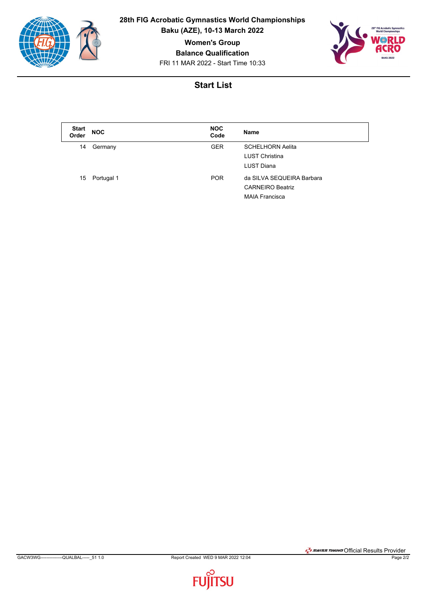

**28th FIG Acrobatic Gymnastics World Championships**

**Baku (AZE), 10-13 March 2022**

**Women's Group**

**Balance Qualification**

FRI 11 MAR 2022 - Start Time 10:33



| <b>Start</b><br>Order | <b>NOC</b> | <b>NOC</b><br>Code | <b>Name</b>               |
|-----------------------|------------|--------------------|---------------------------|
| 14                    | Germany    | <b>GER</b>         | <b>SCHELHORN Aelita</b>   |
|                       |            |                    | <b>LUST Christina</b>     |
|                       |            |                    | LUST Diana                |
| 15                    | Portugal 1 | <b>POR</b>         | da SILVA SEQUEIRA Barbara |
|                       |            |                    | <b>CARNEIRO Beatriz</b>   |
|                       |            |                    | <b>MAIA Francisca</b>     |

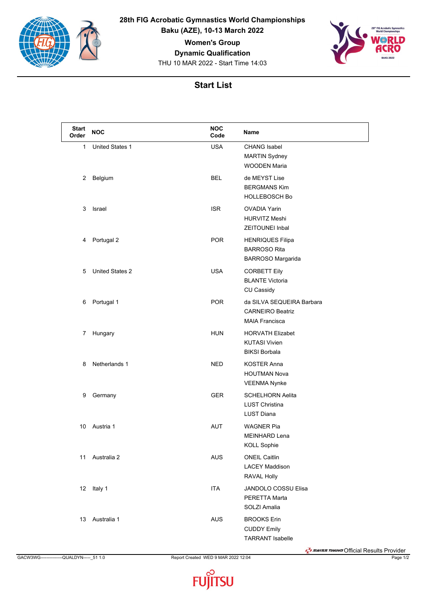

**28th FIG Acrobatic Gymnastics World Championships Baku (AZE), 10-13 March 2022**

**Women's Group**

**Dynamic Qualification**

THU 10 MAR 2022 - Start Time 14:03



| <b>Start</b><br>Order | <b>NOC</b>             | <b>NOC</b><br>Code | Name                                                                          |
|-----------------------|------------------------|--------------------|-------------------------------------------------------------------------------|
| 1                     | <b>United States 1</b> | <b>USA</b>         | <b>CHANG Isabel</b><br><b>MARTIN Sydney</b><br><b>WOODEN Maria</b>            |
| 2                     | Belgium                | <b>BEL</b>         | de MEYST Lise<br><b>BERGMANS Kim</b><br><b>HOLLEBOSCH Bo</b>                  |
| 3                     | Israel                 | <b>ISR</b>         | <b>OVADIA Yarin</b><br><b>HURVITZ Meshi</b><br><b>ZEITOUNEI Inbal</b>         |
| 4                     | Portugal 2             | <b>POR</b>         | <b>HENRIQUES Filipa</b><br><b>BARROSO Rita</b><br><b>BARROSO Margarida</b>    |
| 5                     | <b>United States 2</b> | <b>USA</b>         | <b>CORBETT Eily</b><br><b>BLANTE Victoria</b><br>CU Cassidy                   |
| 6                     | Portugal 1             | POR                | da SILVA SEQUEIRA Barbara<br><b>CARNEIRO Beatriz</b><br><b>MAIA Francisca</b> |
| 7                     | Hungary                | <b>HUN</b>         | <b>HORVATH Elizabet</b><br><b>KUTASI Vivien</b><br><b>BIKSI Borbala</b>       |
| 8                     | Netherlands 1          | <b>NED</b>         | <b>KOSTER Anna</b><br><b>HOUTMAN Nova</b><br><b>VEENMA Nynke</b>              |
| 9                     | Germany                | <b>GER</b>         | <b>SCHELHORN Aelita</b><br><b>LUST Christina</b><br><b>LUST Diana</b>         |
| 10                    | Austria 1              | <b>AUT</b>         | <b>WAGNER Pia</b><br><b>MEINHARD Lena</b><br><b>KOLL Sophie</b>               |
| 11                    | Australia 2            | <b>AUS</b>         | <b>ONEIL Caitlin</b><br><b>LACEY Maddison</b><br>RAVAL Holly                  |
| 12                    | Italy 1                | ITA                | JANDOLO COSSU Elisa<br>PERETTA Marta<br>SOLZI Amalia                          |
| 13                    | Australia 1            | AUS                | <b>BROOKS Erin</b><br><b>CUDDY Emily</b><br><b>TARRANT Isabelle</b>           |